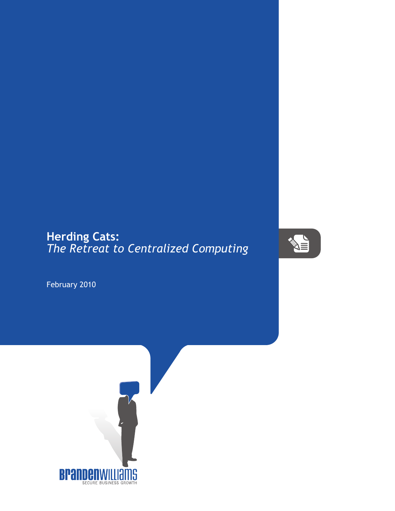## **Herding Cats:** *The Retreat to Centralized Computing*



February 2010

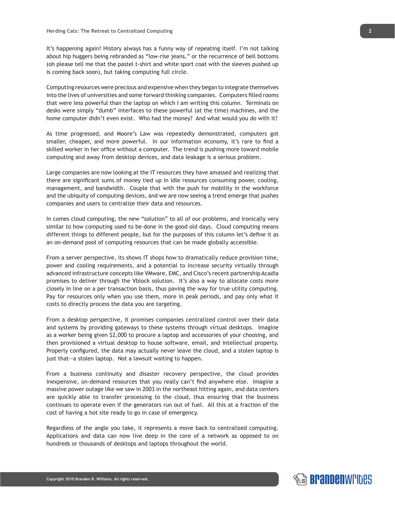It's happening again! History always has a funny way of repeating itself. I'm not talking about hip huggers being rebranded as "low-rise jeans," or the recurrence of bell bottoms (oh please tell me that the pastel t-shirt and white sport coat with the sleeves pushed up is coming back soon), but taking computing full circle.

Computing resources were precious and expensive when they began to integrate themselves into the lives of universities and some forward thinking companies. Computers filled rooms that were less powerful than the laptop on which I am writing this column. Terminals on desks were simply "dumb" interfaces to these powerful (at the time) machines, and the home computer didn't even exist. Who had the money? And what would you do with it?

As time progressed, and Moore's Law was repeatedly demonstrated, computers got smaller, cheaper, and more powerful. In our information economy, it's rare to find a skilled worker in her office without a computer. The trend is pushing more toward mobile computing and away from desktop devices, and data leakage is a serious problem.

Large companies are now looking at the IT resources they have amassed and realizing that there are significant sums of money tied up in idle resources consuming power, cooling, management, and bandwidth. Couple that with the push for mobility in the workforce and the ubiquity of computing devices, and we are now seeing a trend emerge that pushes companies and users to centralize their data and resources.

In comes cloud computing, the new "solution" to all of our problems, and ironically very similar to how computing used to be done in the good old days. Cloud computing means different things to different people, but for the purposes of this column let's define it as an on-demand pool of computing resources that can be made globally accessible.

From a server perspective, its shows IT shops how to dramatically reduce provision time, power and cooling requirements, and a potential to increase security virtually through advanced infrastructure concepts like VMware, EMC, and Cisco's recent partnership Acadia promises to deliver through the Vblock solution. It's also a way to allocate costs more closely in line on a per transaction basis, thus paving the way for true utility computing. Pay for resources only when you use them, more in peak periods, and pay only what it costs to directly process the data you are targeting.

From a desktop perspective, it promises companies centralized control over their data and systems by providing gateways to these systems through virtual desktops. Imagine as a worker being given \$2,000 to procure a laptop and accessories of your choosing, and then provisioned a virtual desktop to house software, email, and intellectual property. Properly configured, the data may actually never leave the cloud, and a stolen laptop is just that--a stolen laptop. Not a lawsuit waiting to happen.

From a business continuity and disaster recovery perspective, the cloud provides inexpensive, on-demand resources that you really can't find anywhere else. Imagine a massive power outage like we saw in 2003 in the northeast hitting again, and data centers are quickly able to transfer processing to the cloud, thus ensuring that the business continues to operate even if the generators run out of fuel. All this at a fraction of the cost of having a hot site ready to go in case of emergency.

Regardless of the angle you take, it represents a move back to centralized computing. Applications and data can now live deep in the core of a network as opposed to on hundreds or thousands of desktops and laptops throughout the world.

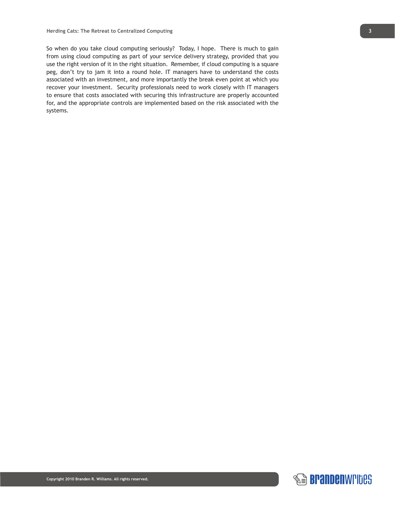So when do you take cloud computing seriously? Today, I hope. There is much to gain from using cloud computing as part of your service delivery strategy, provided that you use the right version of it in the right situation. Remember, if cloud computing is a square peg, don't try to jam it into a round hole. IT managers have to understand the costs associated with an investment, and more importantly the break even point at which you recover your investment. Security professionals need to work closely with IT managers to ensure that costs associated with securing this infrastructure are properly accounted for, and the appropriate controls are implemented based on the risk associated with the systems.